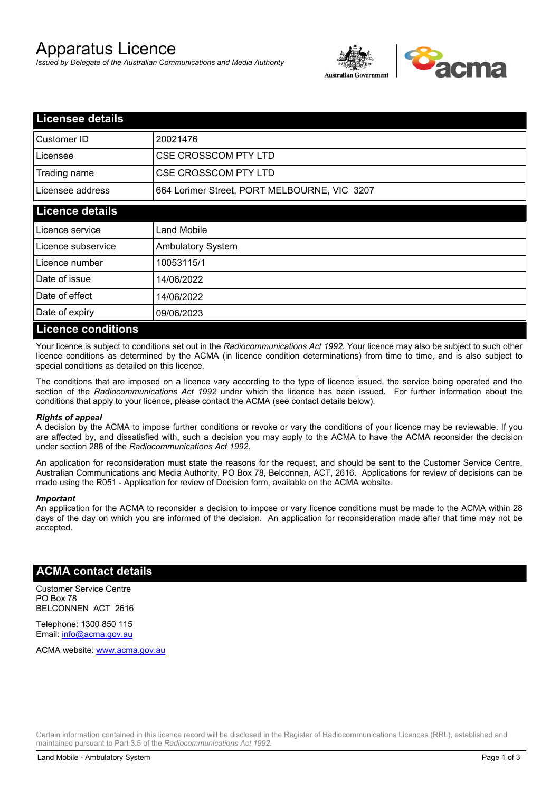# Apparatus Licence

*Issued by Delegate of the Australian Communications and Media Authority*



| <b>Licensee details</b>   |                                              |  |  |  |
|---------------------------|----------------------------------------------|--|--|--|
| Customer ID               | 20021476                                     |  |  |  |
| Licensee                  | <b>CSE CROSSCOM PTY LTD</b>                  |  |  |  |
| Trading name              | <b>CSE CROSSCOM PTY LTD</b>                  |  |  |  |
| Licensee address          | 664 Lorimer Street, PORT MELBOURNE, VIC 3207 |  |  |  |
| <b>Licence details</b>    |                                              |  |  |  |
| Licence service           | Land Mobile                                  |  |  |  |
| Licence subservice        | <b>Ambulatory System</b>                     |  |  |  |
| Licence number            | 10053115/1                                   |  |  |  |
| Date of issue             | 14/06/2022                                   |  |  |  |
| Date of effect            | 14/06/2022                                   |  |  |  |
| Date of expiry            | 09/06/2023                                   |  |  |  |
| <b>Licence conditions</b> |                                              |  |  |  |

Your licence is subject to conditions set out in the *Radiocommunications Act 1992*. Your licence may also be subject to such other licence conditions as determined by the ACMA (in licence condition determinations) from time to time, and is also subject to special conditions as detailed on this licence.

The conditions that are imposed on a licence vary according to the type of licence issued, the service being operated and the section of the *Radiocommunications Act 1992* under which the licence has been issued. For further information about the conditions that apply to your licence, please contact the ACMA (see contact details below).

### *Rights of appeal*

A decision by the ACMA to impose further conditions or revoke or vary the conditions of your licence may be reviewable. If you are affected by, and dissatisfied with, such a decision you may apply to the ACMA to have the ACMA reconsider the decision under section 288 of the *Radiocommunications Act 1992*.

An application for reconsideration must state the reasons for the request, and should be sent to the Customer Service Centre, Australian Communications and Media Authority, PO Box 78, Belconnen, ACT, 2616. Applications for review of decisions can be made using the R051 - Application for review of Decision form, available on the ACMA website.

#### *Important*

An application for the ACMA to reconsider a decision to impose or vary licence conditions must be made to the ACMA within 28 days of the day on which you are informed of the decision. An application for reconsideration made after that time may not be accepted.

## **ACMA contact details**

Customer Service Centre PO Box 78 BELCONNEN ACT 2616

Telephone: 1300 850 115 Email: info@acma.gov.au

ACMA website: www.acma.gov.au

Certain information contained in this licence record will be disclosed in the Register of Radiocommunications Licences (RRL), established and maintained pursuant to Part 3.5 of the *Radiocommunications Act 1992.*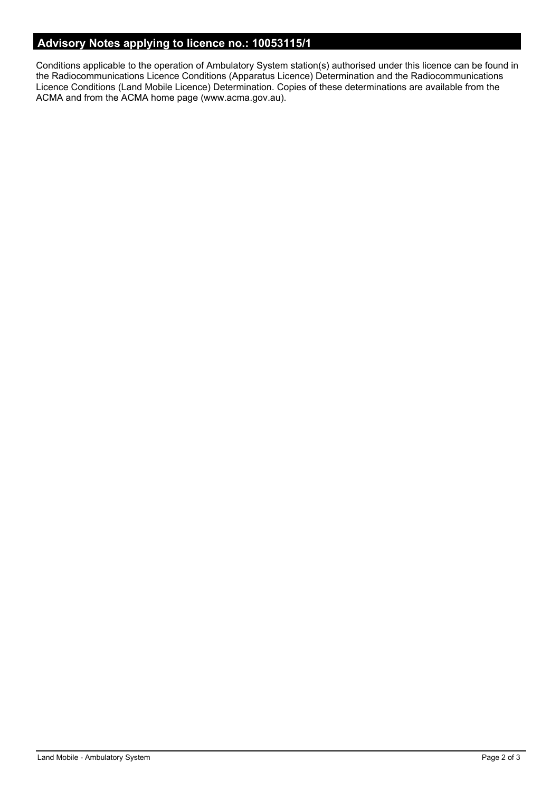# **Advisory Notes applying to licence no.: 10053115/1**

Conditions applicable to the operation of Ambulatory System station(s) authorised under this licence can be found in the Radiocommunications Licence Conditions (Apparatus Licence) Determination and the Radiocommunications Licence Conditions (Land Mobile Licence) Determination. Copies of these determinations are available from the ACMA and from the ACMA home page (www.acma.gov.au).